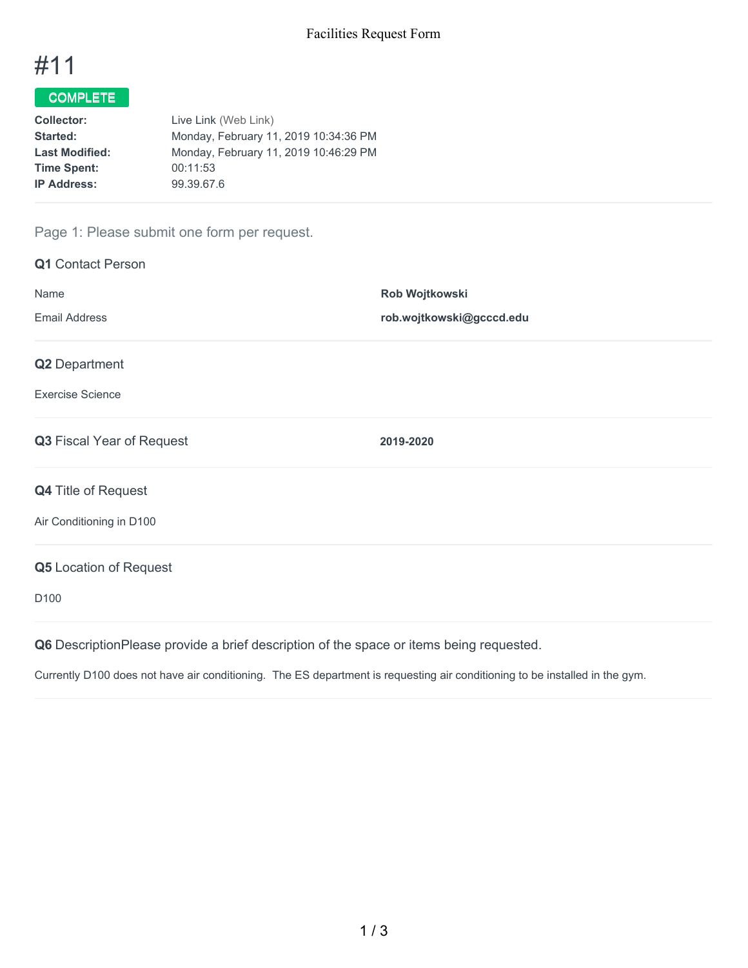

# COMPLETE

| <b>Collector:</b>     | Live Link (Web Link)                  |
|-----------------------|---------------------------------------|
| Started:              | Monday, February 11, 2019 10:34:36 PM |
| <b>Last Modified:</b> | Monday, February 11, 2019 10:46:29 PM |
| <b>Time Spent:</b>    | 00:11:53                              |
| <b>IP Address:</b>    | 99.39.67.6                            |
|                       |                                       |

## Page 1: Please submit one form per request.

| <b>Q1</b> Contact Person  |                          |
|---------------------------|--------------------------|
| Name                      | Rob Wojtkowski           |
| <b>Email Address</b>      | rob.wojtkowski@gcccd.edu |
| Q2 Department             |                          |
| <b>Exercise Science</b>   |                          |
| Q3 Fiscal Year of Request | 2019-2020                |
| Q4 Title of Request       |                          |
| Air Conditioning in D100  |                          |
| Q5 Location of Request    |                          |
| D <sub>100</sub>          |                          |
|                           |                          |

**Q6** DescriptionPlease provide a brief description of the space or items being requested.

Currently D100 does not have air conditioning. The ES department is requesting air conditioning to be installed in the gym.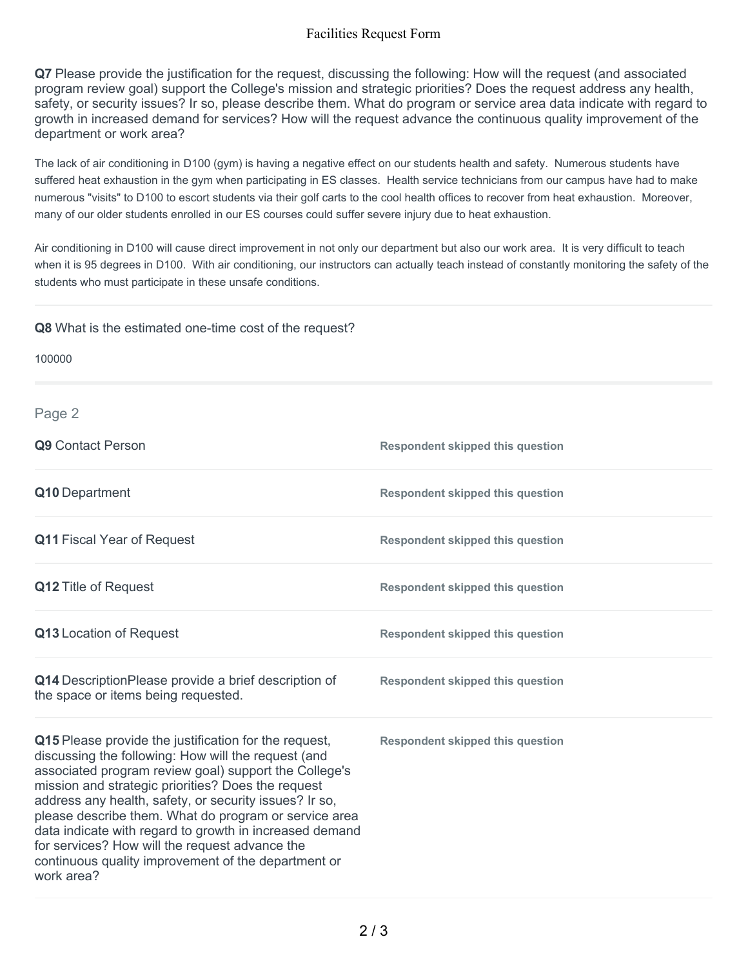### Facilities Request Form

**Q7** Please provide the justification for the request, discussing the following: How will the request (and associated program review goal) support the College's mission and strategic priorities? Does the request address any health, safety, or security issues? Ir so, please describe them. What do program or service area data indicate with regard to growth in increased demand for services? How will the request advance the continuous quality improvement of the department or work area?

The lack of air conditioning in D100 (gym) is having a negative effect on our students health and safety. Numerous students have suffered heat exhaustion in the gym when participating in ES classes. Health service technicians from our campus have had to make numerous "visits" to D100 to escort students via their golf carts to the cool health offices to recover from heat exhaustion. Moreover, many of our older students enrolled in our ES courses could suffer severe injury due to heat exhaustion.

Air conditioning in D100 will cause direct improvement in not only our department but also our work area. It is very difficult to teach when it is 95 degrees in D100. With air conditioning, our instructors can actually teach instead of constantly monitoring the safety of the students who must participate in these unsafe conditions.

#### **Q8** What is the estimated one-time cost of the request?

| 100000                                                                                                                                                                                                                                                                                                                                                                                                                                                                                                                           |                                         |
|----------------------------------------------------------------------------------------------------------------------------------------------------------------------------------------------------------------------------------------------------------------------------------------------------------------------------------------------------------------------------------------------------------------------------------------------------------------------------------------------------------------------------------|-----------------------------------------|
| Page 2                                                                                                                                                                                                                                                                                                                                                                                                                                                                                                                           |                                         |
| Q9 Contact Person                                                                                                                                                                                                                                                                                                                                                                                                                                                                                                                | <b>Respondent skipped this question</b> |
| Q10 Department                                                                                                                                                                                                                                                                                                                                                                                                                                                                                                                   | <b>Respondent skipped this question</b> |
| Q11 Fiscal Year of Request                                                                                                                                                                                                                                                                                                                                                                                                                                                                                                       | <b>Respondent skipped this question</b> |
| Q12 Title of Request                                                                                                                                                                                                                                                                                                                                                                                                                                                                                                             | <b>Respondent skipped this question</b> |
| Q13 Location of Request                                                                                                                                                                                                                                                                                                                                                                                                                                                                                                          | <b>Respondent skipped this question</b> |
| Q14 DescriptionPlease provide a brief description of<br>the space or items being requested.                                                                                                                                                                                                                                                                                                                                                                                                                                      | <b>Respondent skipped this question</b> |
| Q15 Please provide the justification for the request,<br>discussing the following: How will the request (and<br>associated program review goal) support the College's<br>mission and strategic priorities? Does the request<br>address any health, safety, or security issues? Ir so,<br>please describe them. What do program or service area<br>data indicate with regard to growth in increased demand<br>for services? How will the request advance the<br>continuous quality improvement of the department or<br>work area? | <b>Respondent skipped this question</b> |